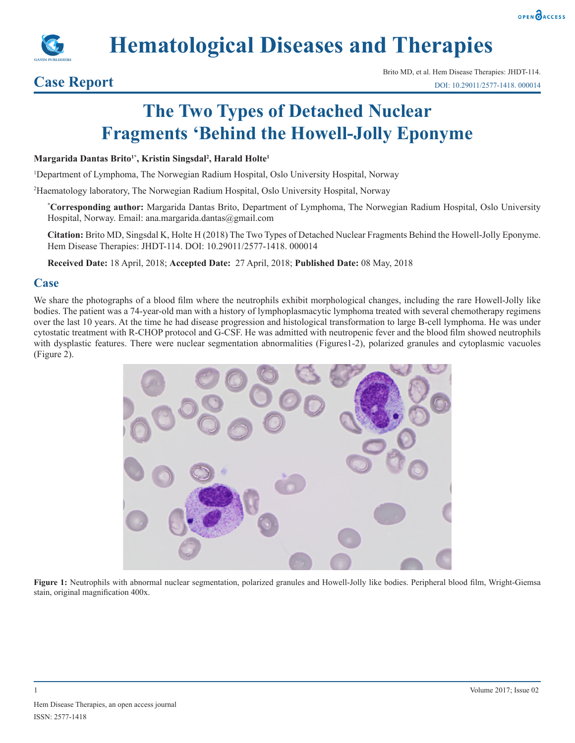



## **Case Report**

# **The Two Types of Detached Nuclear Fragments 'Behind the Howell-Jolly Eponyme**

#### Margarida Dantas Brito<sup>1\*</sup>, Kristin Singsdal<sup>2</sup>, Harald Holte<sup>1</sup>

1 Department of Lymphoma, The Norwegian Radium Hospital, Oslo University Hospital, Norway

2 Haematology laboratory, The Norwegian Radium Hospital, Oslo University Hospital, Norway

**\* Corresponding author:** Margarida Dantas Brito, Department of Lymphoma, The Norwegian Radium Hospital, Oslo University Hospital, Norway. Email: ana.margarida.dantas@gmail.com

**Citation:** Brito MD, Singsdal K, Holte H (2018) The Two Types of Detached Nuclear Fragments Behind the Howell-Jolly Eponyme. Hem Disease Therapies: JHDT-114. DOI: 10.29011/2577-1418. 000014

**Received Date:** 18 April, 2018; **Accepted Date:** 27 April, 2018; **Published Date:** 08 May, 2018

#### **Case**

We share the photographs of a blood film where the neutrophils exhibit morphological changes, including the rare Howell-Jolly like bodies. The patient was a 74-year-old man with a history of lymphoplasmacytic lymphoma treated with several chemotherapy regimens over the last 10 years. At the time he had disease progression and histological transformation to large B-cell lymphoma. He was under cytostatic treatment with R-CHOP protocol and G-CSF. He was admitted with neutropenic fever and the blood film showed neutrophils with dysplastic features. There were nuclear segmentation abnormalities (Figures1-2), polarized granules and cytoplasmic vacuoles (Figure 2).



**Figure 1:** Neutrophils with abnormal nuclear segmentation, polarized granules and Howell-Jolly like bodies. Peripheral blood film, Wright-Giemsa stain, original magnification 400x.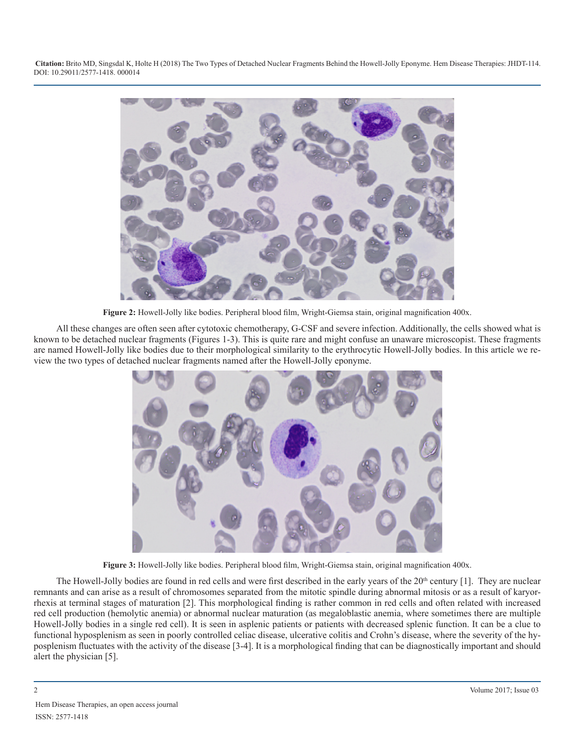**Citation:** Brito MD, Singsdal K, Holte H (2018) The Two Types of Detached Nuclear Fragments Behind the Howell-Jolly Eponyme. Hem Disease Therapies: JHDT-114. DOI: 10.29011/2577-1418. 000014



**Figure 2:** Howell-Jolly like bodies. Peripheral blood film, Wright-Giemsa stain, original magnification 400x.

All these changes are often seen after cytotoxic chemotherapy, G-CSF and severe infection. Additionally, the cells showed what is known to be detached nuclear fragments (Figures 1-3). This is quite rare and might confuse an unaware microscopist. These fragments are named Howell-Jolly like bodies due to their morphological similarity to the erythrocytic Howell-Jolly bodies. In this article we review the two types of detached nuclear fragments named after the Howell-Jolly eponyme.



**Figure 3:** Howell-Jolly like bodies. Peripheral blood film, Wright-Giemsa stain, original magnification 400x.

The Howell-Jolly bodies are found in red cells and were first described in the early years of the 20<sup>th</sup> century [1]. They are nuclear remnants and can arise as a result of chromosomes separated from the mitotic spindle during abnormal mitosis or as a result of karyorrhexis at terminal stages of maturation [2]. This morphological finding is rather common in red cells and often related with increased red cell production (hemolytic anemia) or abnormal nuclear maturation (as megaloblastic anemia, where sometimes there are multiple Howell-Jolly bodies in a single red cell). It is seen in asplenic patients or patients with decreased splenic function. It can be a clue to functional hyposplenism as seen in poorly controlled celiac disease, ulcerative colitis and Crohn's disease, where the severity of the hyposplenism fluctuates with the activity of the disease [3-4]. It is a morphological finding that can be diagnostically important and should alert the physician [5].